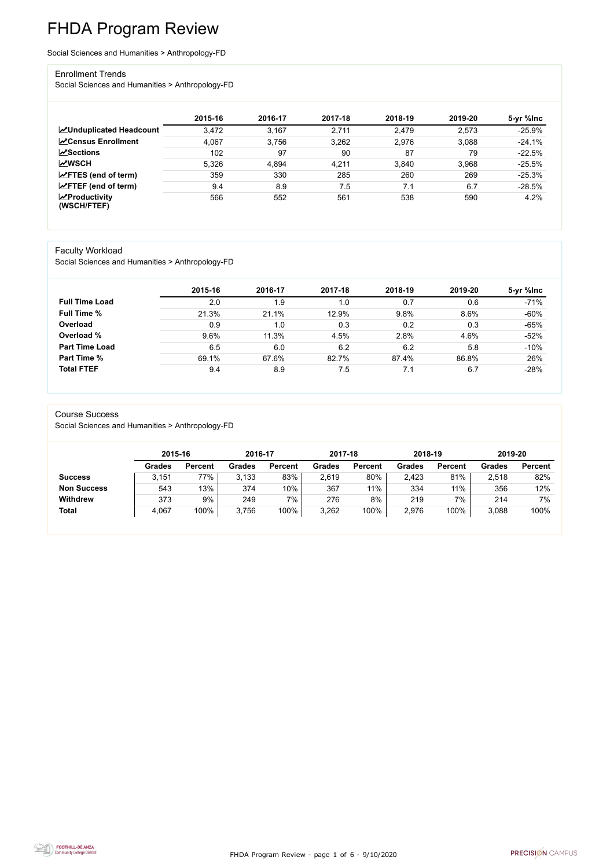FHDA Program Review - page 1 of 6 - 9/10/2020



# FHDA Program Review

Social Sciences and Humanities > Anthropology-FD

#### Enrollment Trends

Social Sciences and Humanities > Anthropology-FD

|                                          | 2015-16 | 2016-17 | 2017-18 | 2018-19 | 2019-20 | 5-yr %lnc |
|------------------------------------------|---------|---------|---------|---------|---------|-----------|
| <b>ZUnduplicated Headcount</b>           | 3,472   | 3,167   | 2,711   | 2,479   | 2,573   | $-25.9%$  |
| <b>∠</b> Census Enrollment               | 4,067   | 3,756   | 3,262   | 2,976   | 3,088   | $-24.1%$  |
| $\sqrt{S}$ ections                       | 102     | 97      | 90      | 87      | 79      | $-22.5%$  |
| <b>MWSCH</b>                             | 5,326   | 4,894   | 4,211   | 3,840   | 3,968   | $-25.5%$  |
| $\angle$ FTES (end of term)              | 359     | 330     | 285     | 260     | 269     | $-25.3%$  |
| $\angle$ FTEF (end of term)              | 9.4     | 8.9     | 7.5     | 7.1     | 6.7     | $-28.5%$  |
| $\mathbf{Z}$ Productivity<br>(WSCH/FTEF) | 566     | 552     | 561     | 538     | 590     | 4.2%      |

#### Faculty Workload

Social Sciences and Humanities > Anthropology-FD

|                       | 2015-16 | 2016-17 | 2017-18 | 2018-19 | 2019-20 | 5-yr %lnc |
|-----------------------|---------|---------|---------|---------|---------|-----------|
| <b>Full Time Load</b> | 2.0     | 1.9     | 1.0     | 0.7     | 0.6     | $-71%$    |
| <b>Full Time %</b>    | 21.3%   | 21.1%   | 12.9%   | 9.8%    | 8.6%    | $-60%$    |
| Overload              | 0.9     | 1.0     | 0.3     | 0.2     | 0.3     | $-65%$    |
| Overload %            | 9.6%    | 11.3%   | 4.5%    | 2.8%    | 4.6%    | $-52%$    |
| <b>Part Time Load</b> | 6.5     | 6.0     | 6.2     | 6.2     | 5.8     | $-10%$    |
| <b>Part Time %</b>    | 69.1%   | 67.6%   | 82.7%   | 87.4%   | 86.8%   | 26%       |
| <b>Total FTEF</b>     | 9.4     | 8.9     | 7.5     | 7.1     | 6.7     | $-28%$    |

#### Course Success

Social Sciences and Humanities > Anthropology-FD

|                    |               | 2015-16        |        | 2016-17        | 2017-18 |                | 2018-19       |                | 2019-20       |                |
|--------------------|---------------|----------------|--------|----------------|---------|----------------|---------------|----------------|---------------|----------------|
|                    | <b>Grades</b> | <b>Percent</b> | Grades | <b>Percent</b> | Grades  | <b>Percent</b> | <b>Grades</b> | <b>Percent</b> | <b>Grades</b> | <b>Percent</b> |
| <b>Success</b>     | 3,151         | 77%            | 3,133  | 83%            | 2,619   | 80%            | 2,423         | 81%            | 2,518         | 82%            |
| <b>Non Success</b> | 543           | 13%            | 374    | 10%            | 367     | 11%            | 334           | 11%            | 356           | 12%            |
| <b>Withdrew</b>    | 373           | 9%             | 249    | 7%             | 276     | 8%             | 219           | 7%             | 214           | $7\%$          |
| <b>Total</b>       | 4,067         | 100%           | 3,756  | 100%           | 3,262   | 100%           | 2,976         | 100%           | 3,088         | 100%           |

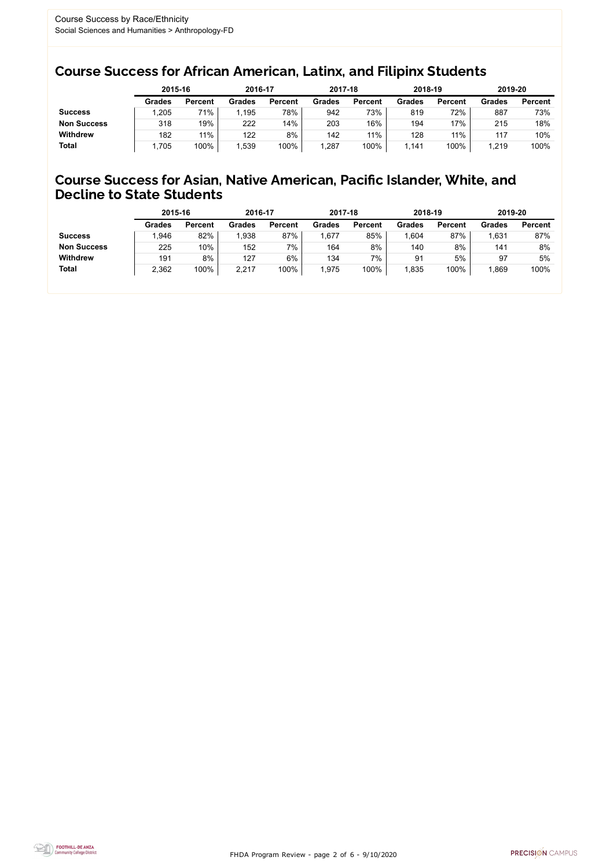FHDA Program Review - page 2 of 6 - 9/10/2020



### Course Success for African American, Latinx, and Filipinx Students

### Course Success for Asian, Native American, Pacific Islander, White, and Decline to State Students

|                    |               | 2015-16        |               | 2016-17        |               | 2017-18        | 2018-19       |                | 2019-20       |                |
|--------------------|---------------|----------------|---------------|----------------|---------------|----------------|---------------|----------------|---------------|----------------|
|                    | <b>Grades</b> | <b>Percent</b> | <b>Grades</b> | <b>Percent</b> | <b>Grades</b> | <b>Percent</b> | <b>Grades</b> | <b>Percent</b> | <b>Grades</b> | <b>Percent</b> |
| <b>Success</b>     | ,205          | 71%            | 1,195         | 78%            | 942           | 73%            | 819           | 72%            | 887           | 73%            |
| <b>Non Success</b> | 318           | 19%            | 222           | 14%            | 203           | 16%            | 194           | 17%            | 215           | 18%            |
| <b>Withdrew</b>    | 182           | 11%            | 122           | 8%             | 142           | 11%            | 128           | 11%            | 117           | 10%            |
| <b>Total</b>       | 1,705         | 100%           | ,539          | 100%           | 1,287         | 100%           | .141          | 100%           | 1,219         | 100%           |

|                    | 2015-16       |                | 2016-17       |                | 2017-18       |                | 2018-19       |                | 2019-20       |                |
|--------------------|---------------|----------------|---------------|----------------|---------------|----------------|---------------|----------------|---------------|----------------|
|                    | <b>Grades</b> | <b>Percent</b> | <b>Grades</b> | <b>Percent</b> | <b>Grades</b> | <b>Percent</b> | <b>Grades</b> | <b>Percent</b> | <b>Grades</b> | <b>Percent</b> |
| <b>Success</b>     | .946          | 82%            | 1,938         | 87%            | .677          | 85%            | ,604          | 87%            | 1,631         | 87%            |
| <b>Non Success</b> | 225           | 10%            | 152           | 7%             | 164           | 8%             | 140           | 8%             | 141           | 8%             |
| <b>Withdrew</b>    | 191           | 8%             | 127           | 6%             | 134           | 7%             | 91            | 5%             | 97            | 5%             |
| <b>Total</b>       | 2,362         | 100%           | 2,217         | 100%           | 1,975         | 100%           | ,835          | 100%           | ,869          | 100%           |
|                    |               |                |               |                |               |                |               |                |               |                |

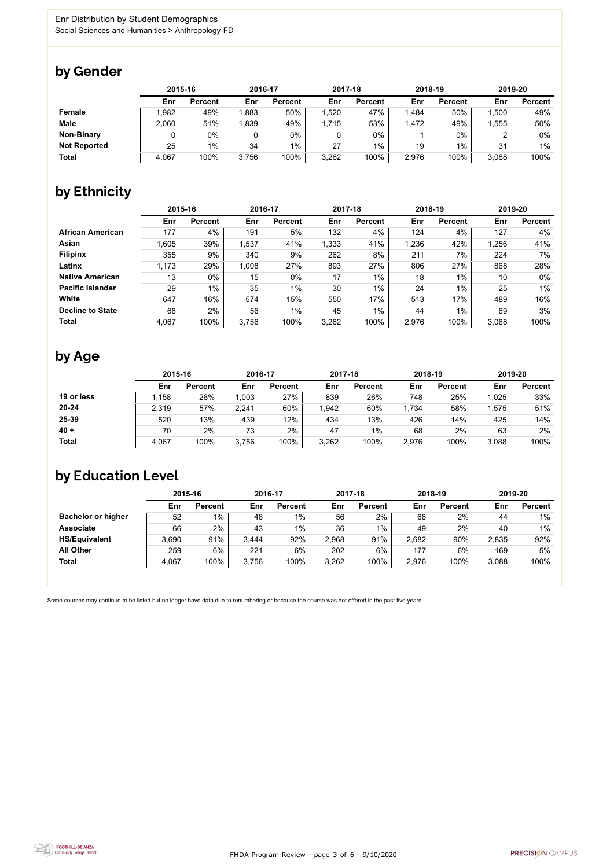FHDA Program Review - page 3 of 6 - 9/10/2020



Some courses may continue to be listed but no longer have data due to renumbering or because the course was not offered in the past five years.



## by Gender

|                     | 2015-16 |                |       | 2016-17        |       | 2017-18        | 2018-19     |                | 2019-20 |                |
|---------------------|---------|----------------|-------|----------------|-------|----------------|-------------|----------------|---------|----------------|
|                     | Enr     | <b>Percent</b> | Enr   | <b>Percent</b> | Enr   | <b>Percent</b> | Enr         | <b>Percent</b> | Enr     | <b>Percent</b> |
| <b>Female</b>       | 1,982   | 49%            | 1,883 | 50%            | 1,520 | 47%            | <b>484,</b> | 50%            | 1,500   | 49%            |
| <b>Male</b>         | 2,060   | 51%            | ,839  | 49%            | 1,715 | 53%            | 1,472       | 49%            | 1,555   | 50%            |
| <b>Non-Binary</b>   |         | 0%             |       | $0\%$          |       | $0\%$          |             | $0\%$          |         | 0%             |
| <b>Not Reported</b> | 25      | $1\%$          | 34    | $1\%$          | 27    | 1%             | 19          | 1%             | 31      | $1\%$          |
| <b>Total</b>        | 4,067   | 100%           | 3,756 | 100%           | 3,262 | 100%           | 2,976       | 100%           | 3,088   | 100%           |

# by Ethnicity

|                         |       | 2015-16        |       | 2016-17        | 2017-18 |                | 2018-19 |                | 2019-20 |                |
|-------------------------|-------|----------------|-------|----------------|---------|----------------|---------|----------------|---------|----------------|
|                         | Enr   | <b>Percent</b> | Enr   | <b>Percent</b> | Enr     | <b>Percent</b> | Enr     | <b>Percent</b> | Enr     | <b>Percent</b> |
| <b>African American</b> | 177   | 4%             | 191   | 5%             | 132     | 4%             | 124     | 4%             | 127     | 4%             |
| Asian                   | 1,605 | 39%            | 1,537 | 41%            | 1,333   | 41%            | 1,236   | 42%            | 1,256   | 41%            |
| <b>Filipinx</b>         | 355   | 9%             | 340   | 9%             | 262     | 8%             | 211     | 7%             | 224     | 7%             |
| Latinx                  | 1,173 | 29%            | 1,008 | 27%            | 893     | 27%            | 806     | 27%            | 868     | 28%            |
| <b>Native American</b>  | 13    | $0\%$          | 15    | 0%             | 17      | $1\%$          | 18      | $1\%$          | 10      | $0\%$          |
| <b>Pacific Islander</b> | 29    | $1\%$          | 35    | $1\%$          | 30      | $1\%$          | 24      | $1\%$          | 25      | 1%             |
| White                   | 647   | 16%            | 574   | 15%            | 550     | 17%            | 513     | 17%            | 489     | 16%            |
| <b>Decline to State</b> | 68    | 2%             | 56    | $1\%$          | 45      | $1\%$          | 44      | $1\%$          | 89      | 3%             |
| <b>Total</b>            | 4,067 | 100%           | 3,756 | 100%           | 3,262   | 100%           | 2,976   | 100%           | 3,088   | 100%           |

## by Age

|              | 2015-16 |                | 2016-17 |                | 2017-18 |                | 2018-19 |                | 2019-20 |                |
|--------------|---------|----------------|---------|----------------|---------|----------------|---------|----------------|---------|----------------|
|              | Enr     | <b>Percent</b> | Enr     | <b>Percent</b> | Enr     | <b>Percent</b> | Enr     | <b>Percent</b> | Enr     | <b>Percent</b> |
| 19 or less   | ,158    | 28%            | 1,003   | 27%            | 839     | 26%            | 748     | 25%            | 1,025   | 33%            |
| $20 - 24$    | 2,319   | 57%            | 2,241   | 60%            | 1,942   | 60%            | 1,734   | 58%            | 1,575   | 51%            |
| 25-39        | 520     | 13%            | 439     | 12%            | 434     | 13%            | 426     | 14%            | 425     | 14%            |
| $40 +$       | 70      | 2%             | 73      | 2%             | 47      | 1%             | 68      | 2%             | 63      | 2%             |
| <b>Total</b> | 4,067   | 100%           | 3,756   | 100%           | 3,262   | 100%           | 2,976   | 100%           | 3,088   | 100%           |

## by Education Level

|                           | 2015-16 |                |       | 2016-17        |       | 2017-18        | 2018-19 |                | 2019-20 |                |
|---------------------------|---------|----------------|-------|----------------|-------|----------------|---------|----------------|---------|----------------|
|                           | Enr     | <b>Percent</b> | Enr   | <b>Percent</b> | Enr   | <b>Percent</b> | Enr     | <b>Percent</b> | Enr     | <b>Percent</b> |
| <b>Bachelor or higher</b> | 52      | $1\%$          | 48    | $1\%$          | 56    | 2%             | 68      | 2%             | 44      | $1\%$          |
| <b>Associate</b>          | 66      | 2%             | 43    | $1\%$          | 36    | $1\%$          | 49      | 2%             | 40      | $1\%$          |
| <b>HS/Equivalent</b>      | 3,690   | 91%            | 3,444 | 92%            | 2,968 | 91%            | 2,682   | 90%            | 2,835   | 92%            |
| <b>All Other</b>          | 259     | $6\%$          | 221   | $6\%$          | 202   | 6%             | 177     | 6%             | 169     | 5%             |
| <b>Total</b>              | 4,067   | 100%           | 3,756 | 100%           | 3,262 | 100%           | 2,976   | 100%           | 3,088   | 100%           |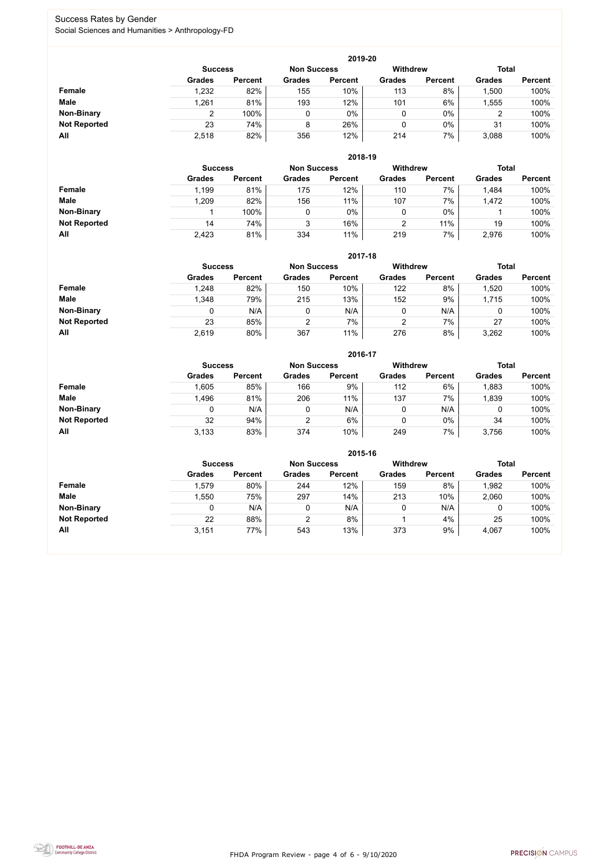FHDA Program Review - page 4 of 6 - 9/10/2020



### Success Rates by Gender Social Sciences and Humanities > Anthropology-FD

|                     |                | 2019-20        |                    |                |                 |                |               |                |  |  |  |  |  |  |
|---------------------|----------------|----------------|--------------------|----------------|-----------------|----------------|---------------|----------------|--|--|--|--|--|--|
|                     | <b>Success</b> |                | <b>Non Success</b> |                | <b>Withdrew</b> |                | <b>Total</b>  |                |  |  |  |  |  |  |
|                     | <b>Grades</b>  | <b>Percent</b> | <b>Grades</b>      | <b>Percent</b> | <b>Grades</b>   | <b>Percent</b> | <b>Grades</b> | <b>Percent</b> |  |  |  |  |  |  |
| Female              | 1,232          | 82%            | 155                | 10%            | 113             | 8%             | ,500          | 100%           |  |  |  |  |  |  |
| <b>Male</b>         | 1,261          | 81%            | 193                | 12%            | 101             | 6%             | ,555          | 100%           |  |  |  |  |  |  |
| <b>Non-Binary</b>   |                | 100%           | 0                  | 0%             | 0               | $0\%$          | ◠<br>∠        | 100%           |  |  |  |  |  |  |
| <b>Not Reported</b> | 23             | 74%            | 8                  | 26%            |                 | $0\%$          | 31            | 100%           |  |  |  |  |  |  |
| All                 | 2,518          | 82%            | 356                | 12%            | 214             | 7%             | 3,088         | 100%           |  |  |  |  |  |  |

|                     |               | 2018-19                              |               |                |               |                 |               |                |  |  |  |  |  |  |
|---------------------|---------------|--------------------------------------|---------------|----------------|---------------|-----------------|---------------|----------------|--|--|--|--|--|--|
|                     |               | <b>Non Success</b><br><b>Success</b> |               |                |               | <b>Withdrew</b> | <b>Total</b>  |                |  |  |  |  |  |  |
|                     | <b>Grades</b> | <b>Percent</b>                       | <b>Grades</b> | <b>Percent</b> | <b>Grades</b> | <b>Percent</b>  | <b>Grades</b> | <b>Percent</b> |  |  |  |  |  |  |
| Female              | 1,199         | 81%                                  | 175           | 12%            | 110           | 7%              | 1,484         | 100%           |  |  |  |  |  |  |
| <b>Male</b>         | 1,209         | 82%                                  | 156           | 11%            | 107           | 7%              | 1,472         | 100%           |  |  |  |  |  |  |
| <b>Non-Binary</b>   |               | 100%                                 |               | $0\%$          | υ             | $0\%$           |               | 100%           |  |  |  |  |  |  |
| <b>Not Reported</b> | 14            | 74%                                  | 3             | 16%            | າ             | 11%             | 19            | 100%           |  |  |  |  |  |  |
| All                 | 2,423         | 81%                                  | 334           | 11%            | 219           | 7%              | 2,976         | 100%           |  |  |  |  |  |  |

|                     |               | 2017-18                                                                 |               |                |               |                |               |                |  |  |  |  |  |
|---------------------|---------------|-------------------------------------------------------------------------|---------------|----------------|---------------|----------------|---------------|----------------|--|--|--|--|--|
|                     |               | <b>Withdrew</b><br><b>Total</b><br><b>Non Success</b><br><b>Success</b> |               |                |               |                |               |                |  |  |  |  |  |
|                     | <b>Grades</b> | <b>Percent</b>                                                          | <b>Grades</b> | <b>Percent</b> | <b>Grades</b> | <b>Percent</b> | <b>Grades</b> | <b>Percent</b> |  |  |  |  |  |
| <b>Female</b>       | 1,248         | 82%                                                                     | 150           | 10%            | 122           | 8%             | ,520          | 100%           |  |  |  |  |  |
| <b>Male</b>         | 1,348         | 79%                                                                     | 215           | 13%            | 152           | 9%             | 1,715         | 100%           |  |  |  |  |  |
| <b>Non-Binary</b>   | 0             | N/A                                                                     |               | N/A            | 0             | N/A            | υ             | 100%           |  |  |  |  |  |
| <b>Not Reported</b> | 23            | 85%                                                                     | 2             | 7%             | 2             | 7%             | 27            | 100%           |  |  |  |  |  |
| All                 | 2,619         | 80%                                                                     | 367           | 11%            | 276           | 8%             | 3,262         | 100%           |  |  |  |  |  |

|                     |               | 2016-17                              |               |                |                 |                |               |                |  |  |
|---------------------|---------------|--------------------------------------|---------------|----------------|-----------------|----------------|---------------|----------------|--|--|
|                     |               | <b>Non Success</b><br><b>Success</b> |               |                | <b>Withdrew</b> |                | <b>Total</b>  |                |  |  |
|                     | <b>Grades</b> | <b>Percent</b>                       | <b>Grades</b> | <b>Percent</b> | <b>Grades</b>   | <b>Percent</b> | <b>Grades</b> | <b>Percent</b> |  |  |
| <b>Female</b>       | 1,605         | 85%                                  | 166           | 9%             | 112             | 6%             | 1,883         | 100%           |  |  |
| <b>Male</b>         | 1,496         | 81%                                  | 206           | 11%            | 137             | 7%             | 1,839         | 100%           |  |  |
| <b>Non-Binary</b>   | 0             | N/A                                  |               | N/A            | 0               | N/A            |               | 100%           |  |  |
| <b>Not Reported</b> | 32            | 94%                                  | 2             | 6%             | 0               | $0\%$          | 34            | 100%           |  |  |
| All                 | 3,133         | 83%                                  | 374           | 10%            | 249             | 7%             | 3,756         | 100%           |  |  |

|                     | 2015-16       |                                      |               |                |               |                 |               |                |  |
|---------------------|---------------|--------------------------------------|---------------|----------------|---------------|-----------------|---------------|----------------|--|
|                     |               | <b>Non Success</b><br><b>Success</b> |               |                |               | <b>Withdrew</b> | <b>Total</b>  |                |  |
|                     | <b>Grades</b> | <b>Percent</b>                       | <b>Grades</b> | <b>Percent</b> | <b>Grades</b> | <b>Percent</b>  | <b>Grades</b> | <b>Percent</b> |  |
| <b>Female</b>       | ,579          | 80%                                  | 244           | 12%            | 159           | 8%              | 1,982         | 100%           |  |
| <b>Male</b>         | ,550          | 75%                                  | 297           | 14%            | 213           | 10%             | 2,060         | 100%           |  |
| <b>Non-Binary</b>   |               | N/A                                  | 0             | N/A            |               | N/A             |               | 100%           |  |
| <b>Not Reported</b> | 22            | 88%                                  | າ             | 8%             |               | 4%              | 25            | 100%           |  |
| All                 | 3,151         | 77%                                  | 543           | 13%            | 373           | 9%              | 4,067         | 100%           |  |

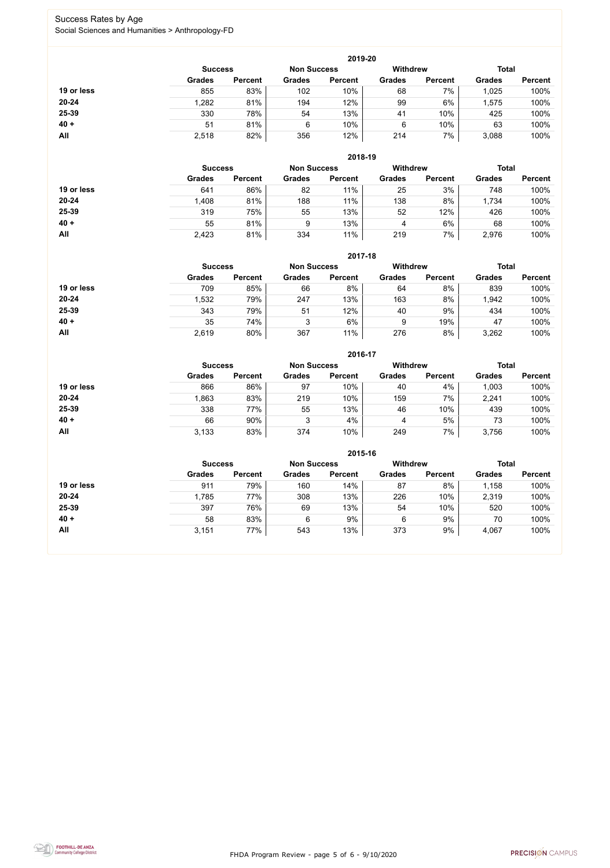FHDA Program Review - page 5 of 6 - 9/10/2020



### Success Rates by Age Social Sciences and Humanities > Anthropology-FD

|            | 2019-20        |                    |               |                |                                 |                |               |                |  |  |
|------------|----------------|--------------------|---------------|----------------|---------------------------------|----------------|---------------|----------------|--|--|
|            | <b>Success</b> | <b>Non Success</b> |               |                | <b>Total</b><br><b>Withdrew</b> |                |               |                |  |  |
|            | <b>Grades</b>  | <b>Percent</b>     | <b>Grades</b> | <b>Percent</b> | <b>Grades</b>                   | <b>Percent</b> | <b>Grades</b> | <b>Percent</b> |  |  |
| 19 or less | 855            | 83%                | 102           | 10%            | 68                              | 7%             | 1,025         | 100%           |  |  |
| $20 - 24$  | 1,282          | 81%                | 194           | 12%            | 99                              | 6%             | 1,575         | 100%           |  |  |
| 25-39      | 330            | 78%                | 54            | 13%            | 41                              | 10%            | 425           | 100%           |  |  |
| $40 +$     | 51             | 81%                | 6             | 10%            | 6                               | 10%            | 63            | 100%           |  |  |
| All        | 2,518          | 82%                | 356           | 12%            | 214                             | 7%             | 3,088         | 100%           |  |  |

|            | 2018-19        |                    |               |                 |               |                |               |                |  |
|------------|----------------|--------------------|---------------|-----------------|---------------|----------------|---------------|----------------|--|
|            | <b>Success</b> | <b>Non Success</b> |               | <b>Withdrew</b> |               | <b>Total</b>   |               |                |  |
|            | <b>Grades</b>  | <b>Percent</b>     | <b>Grades</b> | <b>Percent</b>  | <b>Grades</b> | <b>Percent</b> | <b>Grades</b> | <b>Percent</b> |  |
| 19 or less | 641            | 86%                | 82            | 11%             | 25            | 3%             | 748           | 100%           |  |
| $20 - 24$  | 1,408          | 81%                | 188           | 11%             | 138           | 8%             | 1,734         | 100%           |  |
| 25-39      | 319            | 75%                | 55            | 13%             | 52            | 12%            | 426           | 100%           |  |
| $40 +$     | 55             | 81%                | 9             | 13%             | 4             | 6%             | 68            | 100%           |  |
| All        | 2,423          | 81%                | 334           | 11%             | 219           | 7%             | 2,976         | 100%           |  |

|            | 2017-18                              |                |               |                |                 |                |               |                |  |  |
|------------|--------------------------------------|----------------|---------------|----------------|-----------------|----------------|---------------|----------------|--|--|
|            | <b>Non Success</b><br><b>Success</b> |                |               |                | <b>Withdrew</b> |                | <b>Total</b>  |                |  |  |
|            | <b>Grades</b>                        | <b>Percent</b> | <b>Grades</b> | <b>Percent</b> | <b>Grades</b>   | <b>Percent</b> | <b>Grades</b> | <b>Percent</b> |  |  |
| 19 or less | 709                                  | 85%            | 66            | 8%             | 64              | 8%             | 839           | 100%           |  |  |
| $20 - 24$  | 1,532                                | 79%            | 247           | 13%            | 163             | 8%             | 1,942         | 100%           |  |  |
| 25-39      | 343                                  | 79%            | 51            | 12%            | 40              | 9%             | 434           | 100%           |  |  |
| $40 +$     | 35                                   | 74%            | 3             | 6%             | 9               | 19%            | 47            | 100%           |  |  |
| All        | 2,619                                | 80%            | 367           | 11%            | 276             | 8%             | 3,262         | 100%           |  |  |

|            | 2016-17        |                    |               |                 |               |                |               |                |  |  |
|------------|----------------|--------------------|---------------|-----------------|---------------|----------------|---------------|----------------|--|--|
|            | <b>Success</b> | <b>Non Success</b> |               | <b>Withdrew</b> |               |                | <b>Total</b>  |                |  |  |
|            | <b>Grades</b>  | <b>Percent</b>     | <b>Grades</b> | <b>Percent</b>  | <b>Grades</b> | <b>Percent</b> | <b>Grades</b> | <b>Percent</b> |  |  |
| 19 or less | 866            | 86%                | 97            | 10%             | 40            | 4%             | 1,003         | 100%           |  |  |
| $20 - 24$  | 1,863          | 83%                | 219           | 10%             | 159           | 7%             | 2,241         | 100%           |  |  |
| 25-39      | 338            | 77%                | 55            | 13%             | 46            | 10%            | 439           | 100%           |  |  |
| $40 +$     | 66             | 90%                | 3             | 4%              | 4             | 5%             | 73            | 100%           |  |  |
| <b>All</b> | 3,133          | 83%                | 374           | 10%             | 249           | 7%             | 3,756         | 100%           |  |  |

|            | 2015-16                              |                |               |                |                 |                |               |                |  |
|------------|--------------------------------------|----------------|---------------|----------------|-----------------|----------------|---------------|----------------|--|
|            | <b>Non Success</b><br><b>Success</b> |                |               |                | <b>Withdrew</b> |                | <b>Total</b>  |                |  |
|            | <b>Grades</b>                        | <b>Percent</b> | <b>Grades</b> | <b>Percent</b> | <b>Grades</b>   | <b>Percent</b> | <b>Grades</b> | <b>Percent</b> |  |
| 19 or less | 911                                  | 79%            | 160           | 14%            | 87              | 8%             | 1,158         | 100%           |  |
| $20 - 24$  | 1,785                                | 77%            | 308           | 13%            | 226             | 10%            | 2,319         | 100%           |  |
| 25-39      | 397                                  | 76%            | 69            | 13%            | 54              | 10%            | 520           | 100%           |  |
| $40 +$     | 58                                   | 83%            | 6             | 9%             | 6               | 9%             | 70            | 100%           |  |
| All        | 3,151                                | 77%            | 543           | 13%            | 373             | 9%             | 4,067         | 100%           |  |